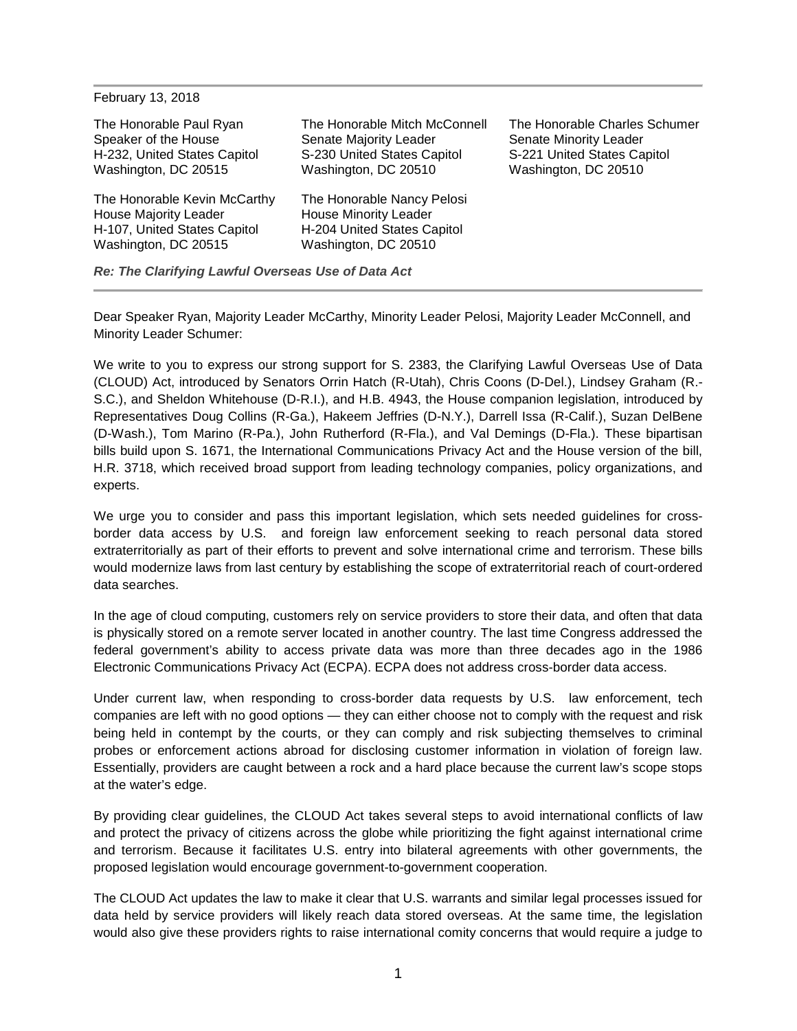| February 13, 2018                                                                                             |                                                                                                                   |                                                                                                                |
|---------------------------------------------------------------------------------------------------------------|-------------------------------------------------------------------------------------------------------------------|----------------------------------------------------------------------------------------------------------------|
| The Honorable Paul Ryan<br>Speaker of the House<br>H-232, United States Capitol<br>Washington, DC 20515       | The Honorable Mitch McConnell<br>Senate Majority Leader<br>S-230 United States Capitol<br>Washington, DC 20510    | The Honorable Charles Schumer<br>Senate Minority Leader<br>S-221 United States Capitol<br>Washington, DC 20510 |
| The Honorable Kevin McCarthy<br>House Majority Leader<br>H-107, United States Capitol<br>Washington, DC 20515 | The Honorable Nancy Pelosi<br><b>House Minority Leader</b><br>H-204 United States Capitol<br>Washington, DC 20510 |                                                                                                                |

*Re: The Clarifying Lawful Overseas Use of Data Act*

Dear Speaker Ryan, Majority Leader McCarthy, Minority Leader Pelosi, Majority Leader McConnell, and Minority Leader Schumer:

We write to you to express our strong support for S. 2383, the Clarifying Lawful Overseas Use of Data (CLOUD) Act, introduced by Senators Orrin Hatch (R-Utah), Chris Coons (D-Del.), Lindsey Graham (R.- S.C.), and Sheldon Whitehouse (D-R.I.), and H.B. 4943, the House companion legislation, introduced by Representatives Doug Collins (R-Ga.), Hakeem Jeffries (D-N.Y.), Darrell Issa (R-Calif.), Suzan DelBene (D-Wash.), Tom Marino (R-Pa.), John Rutherford (R-Fla.), and Val Demings (D-Fla.). These bipartisan bills build upon S. 1671, the International Communications Privacy Act and the House version of the bill, H.R. 3718, which received broad support from leading technology companies, policy organizations, and experts.

We urge you to consider and pass this important legislation, which sets needed guidelines for crossborder data access by U.S. and foreign law enforcement seeking to reach personal data stored extraterritorially as part of their efforts to prevent and solve international crime and terrorism. These bills would modernize laws from last century by establishing the scope of extraterritorial reach of court-ordered data searches.

In the age of cloud computing, customers rely on service providers to store their data, and often that data is physically stored on a remote server located in another country. The last time Congress addressed the federal government's ability to access private data was more than three decades ago in the 1986 Electronic Communications Privacy Act (ECPA). ECPA does not address cross-border data access.

Under current law, when responding to cross-border data requests by U.S. law enforcement, tech companies are left with no good options — they can either choose not to comply with the request and risk being held in contempt by the courts, or they can comply and risk subjecting themselves to criminal probes or enforcement actions abroad for disclosing customer information in violation of foreign law. Essentially, providers are caught between a rock and a hard place because the current law's scope stops at the water's edge.

By providing clear guidelines, the CLOUD Act takes several steps to avoid international conflicts of law and protect the privacy of citizens across the globe while prioritizing the fight against international crime and terrorism. Because it facilitates U.S. entry into bilateral agreements with other governments, the proposed legislation would encourage government-to-government cooperation.

The CLOUD Act updates the law to make it clear that U.S. warrants and similar legal processes issued for data held by service providers will likely reach data stored overseas. At the same time, the legislation would also give these providers rights to raise international comity concerns that would require a judge to